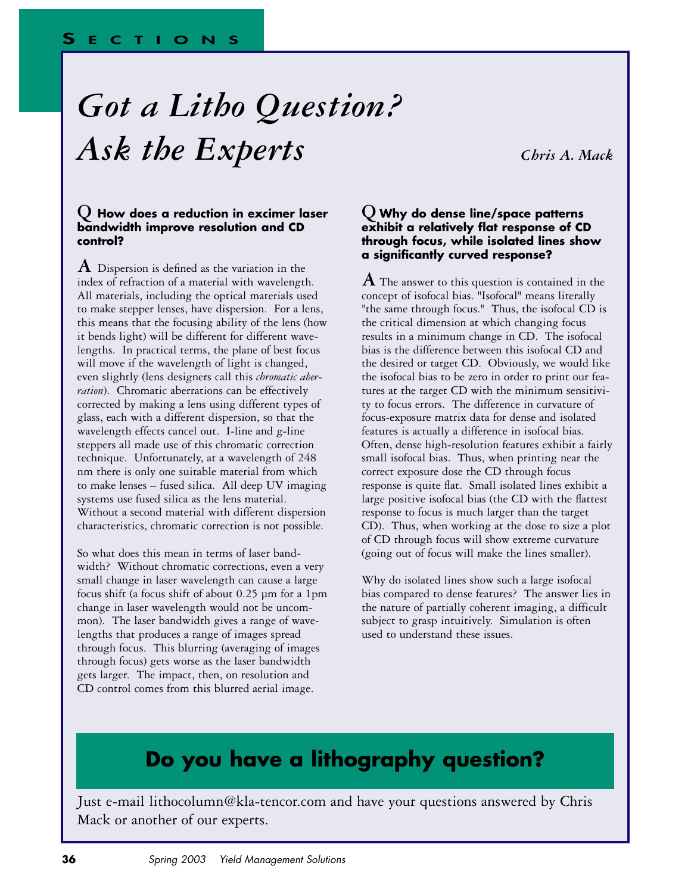# *Got a Litho Question? Ask the Experts Chris A. Mack*

#### **Q How does a reduction in excimer laser bandwidth improve resolution and CD control?**

**A** Dispersion is defined as the variation in the index of refraction of a material with wavelength. All materials, including the optical materials used to make stepper lenses, have dispersion. For a lens, this means that the focusing ability of the lens (how it bends light) will be different for different wavelengths. In practical terms, the plane of best focus will move if the wavelength of light is changed, even slightly (lens designers call this *chromatic aberration*). Chromatic aberrations can be effectively corrected by making a lens using different types of glass, each with a different dispersion, so that the wavelength effects cancel out. I-line and g-line steppers all made use of this chromatic correction technique. Unfortunately, at a wavelength of 248 nm there is only one suitable material from which to make lenses – fused silica. All deep UV imaging systems use fused silica as the lens material. Without a second material with different dispersion characteristics, chromatic correction is not possible.

So what does this mean in terms of laser bandwidth? Without chromatic corrections, even a very small change in laser wavelength can cause a large focus shift (a focus shift of about 0.25 µm for a 1pm change in laser wavelength would not be uncommon). The laser bandwidth gives a range of wavelengths that produces a range of images spread through focus. This blurring (averaging of images through focus) gets worse as the laser bandwidth gets larger. The impact, then, on resolution and CD control comes from this blurred aerial image.

### **Q Why do dense line/space patterns exhibit a relatively flat response of CD through focus, while isolated lines show a significantly curved response?**

**A** The answer to this question is contained in the concept of isofocal bias. "Isofocal" means literally "the same through focus." Thus, the isofocal CD is the critical dimension at which changing focus results in a minimum change in CD. The isofocal bias is the difference between this isofocal CD and the desired or target CD. Obviously, we would like the isofocal bias to be zero in order to print our features at the target CD with the minimum sensitivity to focus errors. The difference in curvature of focus-exposure matrix data for dense and isolated features is actually a difference in isofocal bias. Often, dense high-resolution features exhibit a fairly small isofocal bias. Thus, when printing near the correct exposure dose the CD through focus response is quite flat. Small isolated lines exhibit a large positive isofocal bias (the CD with the flattest response to focus is much larger than the target CD). Thus, when working at the dose to size a plot of CD through focus will show extreme curvature (going out of focus will make the lines smaller).

Why do isolated lines show such a large isofocal bias compared to dense features? The answer lies in the nature of partially coherent imaging, a difficult subject to grasp intuitively. Simulation is often used to understand these issues.

# **Do you have a lithography question?**

Just e-mail lithocolumn@kla-tencor.com and have your questions answered by Chris Mack or another of our experts.